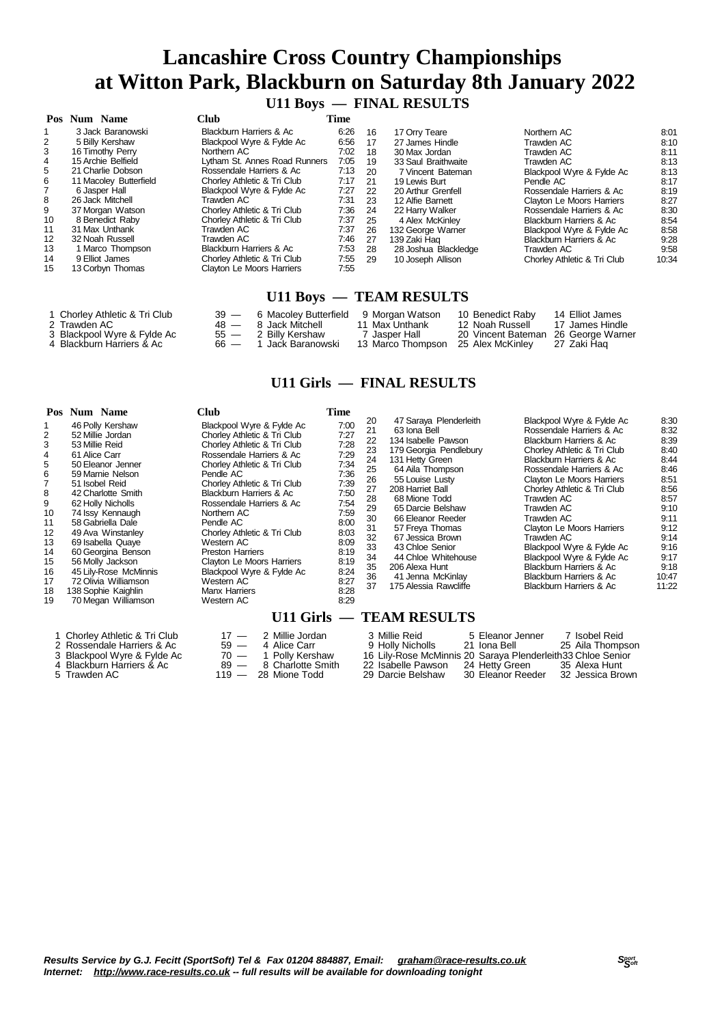### **U11 Boys — FINAL RESULTS**

|    | Pos Num Name           | <b>Club</b>                   | Time |           |                      |                             |       |
|----|------------------------|-------------------------------|------|-----------|----------------------|-----------------------------|-------|
|    | 3 Jack Baranowski      | Blackburn Harriers & Ac       | 6:26 | 16        | 17 Orry Teare        | Northern AC                 | 8:01  |
| 2  | 5 Billy Kershaw        | Blackpool Wyre & Fylde Ac     | 6:56 | 17        | 27 James Hindle      | Trawden AC                  | 8:10  |
| 3  | 16 Timothy Perry       | Northern AC                   | 7:02 | 18        | 30 Max Jordan        | Trawden AC                  | 8:11  |
| 4  | 15 Archie Belfield     | Lytham St. Annes Road Runners | 7:05 | 19        | 33 Saul Braithwaite  | Trawden AC                  | 8:13  |
| 5  | 21 Charlie Dobson      | Rossendale Harriers & Ac      | 7:13 | <b>20</b> | 7 Vincent Bateman    | Blackpool Wyre & Fylde Ac   | 8:13  |
| 6  | 11 Macoley Butterfield | Chorley Athletic & Tri Club   | 7:17 | -21       | 19 Lewis Burt        | Pendle AC                   | 8:17  |
|    | 6 Jasper Hall          | Blackpool Wyre & Fylde Ac     | 7:27 | 22        | 20 Arthur Grenfell   | Rossendale Harriers & Ac    | 8:19  |
| 8  | 26 Jack Mitchell       | Trawden AC                    | 7:31 | 23        | 12 Alfie Barnett     | Clayton Le Moors Harriers   | 8:27  |
| 9  | 37 Morgan Watson       | Chorley Athletic & Tri Club   | 7:36 | 24        | 22 Harry Walker      | Rossendale Harriers & Ac    | 8:30  |
| 10 | 8 Benedict Raby        | Chorley Athletic & Tri Club   | 7:37 | 25        | 4 Alex McKinley      | Blackburn Harriers & Ac     | 8:54  |
| 11 | 31 Max Unthank         | Trawden AC                    | 7:37 | 26        | 132 George Warner    | Blackpool Wyre & Fylde Ac   | 8:58  |
| 12 | 32 Noah Russell        | Trawden AC                    | 7:46 | 27        | 139 Zaki Hag         | Blackburn Harriers & Ac     | 9:28  |
| 13 | 1 Marco Thompson       | Blackburn Harriers & Ac       | 7:53 | 28        | 28 Joshua Blackledge | Trawden AC                  | 9:58  |
| 14 | 9 Elliot James         | Chorley Athletic & Tri Club   | 7:55 | 29        | 10 Joseph Allison    | Chorley Athletic & Tri Club | 10:34 |
| 15 | 13 Corbyn Thomas       | Clayton Le Moors Harriers     | 7:55 |           |                      |                             |       |
|    |                        |                               |      |           |                      |                             |       |

### **U11 Boys — TEAM RESULTS**

| 1 Chorlev Athletic & Tri Club |        | 39 — 6 Macolev Butterfield | 9 Morgan Watson   | 10 Benedict Raby                    | 14 Elliot James  |
|-------------------------------|--------|----------------------------|-------------------|-------------------------------------|------------------|
| 2 Trawden AC                  |        | 48 — 8 Jack Mitchell       | 11 Max Unthank    | 12. Noah Russell.                   | -17 James Hindle |
| 3 Blackpool Wyre & Fylde Ac   | $55 -$ | 2 Billy Kershaw            | Jasper Hall       | 20 Vincent Bateman 26 George Warner |                  |
| 4 Blackburn Harriers & Ac     | 66 —   | Jack Baranowski            | 13 Marco Thompson | 25 Alex McKinlev                    | 27 Zaki Hag      |

#### **U11 Girls — FINAL RESULTS**

|                                                                                                  | Pos Num Name                                                                                                                                                                                                                                                                                                                                                                                              | <b>Club</b>                                                                                                                                                                                                                                                                                                                                                                                                                                                             | Time                                                                                                                                                 |                                                                                                          |                                                                                                                                                                                                                                                                                                                                                                                  |                                                                                                                                                                                                                                                                                                                                                                                                                                                                    |                                                                                                                                                |
|--------------------------------------------------------------------------------------------------|-----------------------------------------------------------------------------------------------------------------------------------------------------------------------------------------------------------------------------------------------------------------------------------------------------------------------------------------------------------------------------------------------------------|-------------------------------------------------------------------------------------------------------------------------------------------------------------------------------------------------------------------------------------------------------------------------------------------------------------------------------------------------------------------------------------------------------------------------------------------------------------------------|------------------------------------------------------------------------------------------------------------------------------------------------------|----------------------------------------------------------------------------------------------------------|----------------------------------------------------------------------------------------------------------------------------------------------------------------------------------------------------------------------------------------------------------------------------------------------------------------------------------------------------------------------------------|--------------------------------------------------------------------------------------------------------------------------------------------------------------------------------------------------------------------------------------------------------------------------------------------------------------------------------------------------------------------------------------------------------------------------------------------------------------------|------------------------------------------------------------------------------------------------------------------------------------------------|
| 1<br>2<br>3<br>4<br>5<br>6<br>8<br>9<br>10<br>11<br>12<br>13<br>14<br>15<br>16<br>17<br>18<br>19 | 46 Polly Kershaw<br>52 Millie Jordan<br>53 Millie Reid<br>61 Alice Carr<br>50 Eleanor Jenner<br>59 Marnie Nelson<br>51 Isobel Reid<br>42 Charlotte Smith<br>62 Holly Nicholls<br>74 Issy Kennaugh<br>58 Gabriella Dale<br>49 Ava Winstanley<br>69 Isabella Quaye<br>60 Georgina Benson<br>56 Molly Jackson<br>45 Lily-Rose McMinnis<br>72 Olivia Williamson<br>138 Sophie Kaighlin<br>70 Megan Williamson | Blackpool Wyre & Fylde Ac<br>Chorley Athletic & Tri Club<br>Chorley Athletic & Tri Club<br>Rossendale Harriers & Ac<br>Chorley Athletic & Tri Club<br>Pendle AC<br>Chorley Athletic & Tri Club<br>Blackburn Harriers & Ac<br>Rossendale Harriers & Ac<br>Northern AC<br>Pendle AC<br>Chorley Athletic & Tri Club<br>Western AC<br><b>Preston Harriers</b><br>Clayton Le Moors Harriers<br>Blackpool Wyre & Fylde Ac<br>Western AC<br><b>Manx Harriers</b><br>Western AC | 7:00<br>7:27<br>7:28<br>7:29<br>7:34<br>7:36<br>7:39<br>7:50<br>7:54<br>7:59<br>8:00<br>8:03<br>8:09<br>8:19<br>8:19<br>8:24<br>8:27<br>8:28<br>8:29 | 20<br>21<br>22<br>23<br>24<br>25<br>26<br>27<br>28<br>29<br>30<br>31<br>32<br>33<br>34<br>35<br>36<br>37 | 47 Saraya Plenderleith<br>63 Iona Bell<br>134 Isabelle Pawson<br>179 Georgia Pendlebury<br>131 Hetty Green<br>64 Aila Thompson<br>55 Louise Lusty<br>208 Harriet Ball<br>68 Mione Todd<br>65 Darcie Belshaw<br>66 Eleanor Reeder<br>57 Freya Thomas<br>67 Jessica Brown<br>43 Chloe Senior<br>44 Chloe Whitehouse<br>206 Alexa Hunt<br>41 Jenna McKinlay<br>175 Alessia Rawdiffe | Blackpool Wyre & Fylde Ac<br>Rossendale Harriers & Ac<br>Blackburn Harriers & Ac<br>Chorley Athletic & Tri Club<br>Blackburn Harriers & Ac<br>Rossendale Harriers & Ac<br>Clayton Le Moors Harriers<br>Chorley Athletic & Tri Club<br>Trawden AC<br>Trawden AC<br>Trawden AC<br>Clayton Le Moors Harriers<br>Trawden AC<br>Blackpool Wyre & Fylde Ac<br>Blackpool Wyre & Fylde Ac<br>Blackburn Harriers & Ac<br>Blackburn Harriers & Ac<br>Blackburn Harriers & Ac | 8:30<br>8:32<br>8:39<br>8:40<br>8:44<br>8:46<br>8:51<br>8:56<br>8:57<br>9:10<br>9:11<br>9:12<br>9:14<br>9:16<br>9:17<br>9:18<br>10:47<br>11:22 |
|                                                                                                  |                                                                                                                                                                                                                                                                                                                                                                                                           |                                                                                                                                                                                                                                                                                                                                                                                                                                                                         |                                                                                                                                                      |                                                                                                          | U11 Girls — TEAM RESULTS                                                                                                                                                                                                                                                                                                                                                         |                                                                                                                                                                                                                                                                                                                                                                                                                                                                    |                                                                                                                                                |
|                                                                                                  | 1 Chorley Athletic & Tri Club<br>2 Rossendale Harriers & Ac<br>Blackpool Wyre & Fylde Ac<br>Blackburn Harriers & Ac<br>Trawden AC                                                                                                                                                                                                                                                                         | 2 Millie Jordan<br>$17 -$<br>$59 -$<br>4 Alice Carr<br>$70 -$<br>1 Polly Kershaw<br>8 Charlotte Smith<br>89<br>$\overline{\phantom{a}}$<br>119<br>28 Mione Todd                                                                                                                                                                                                                                                                                                         |                                                                                                                                                      |                                                                                                          | 3 Millie Reid<br>9 Holly Nicholls<br>22 Isabelle Pawson<br>29 Darcie Belshaw                                                                                                                                                                                                                                                                                                     | 7 Isobel Reid<br>5 Eleanor Jenner<br>21 Iona Bell<br>25 Aila Thompson<br>16 Lily-Rose McMinnis 20 Saraya Plenderleith 33 Chloe Senior<br>24 Hetty Green<br>35 Alexa Hunt<br>30 Eleanor Reeder<br>32 Jessica Brown                                                                                                                                                                                                                                                  |                                                                                                                                                |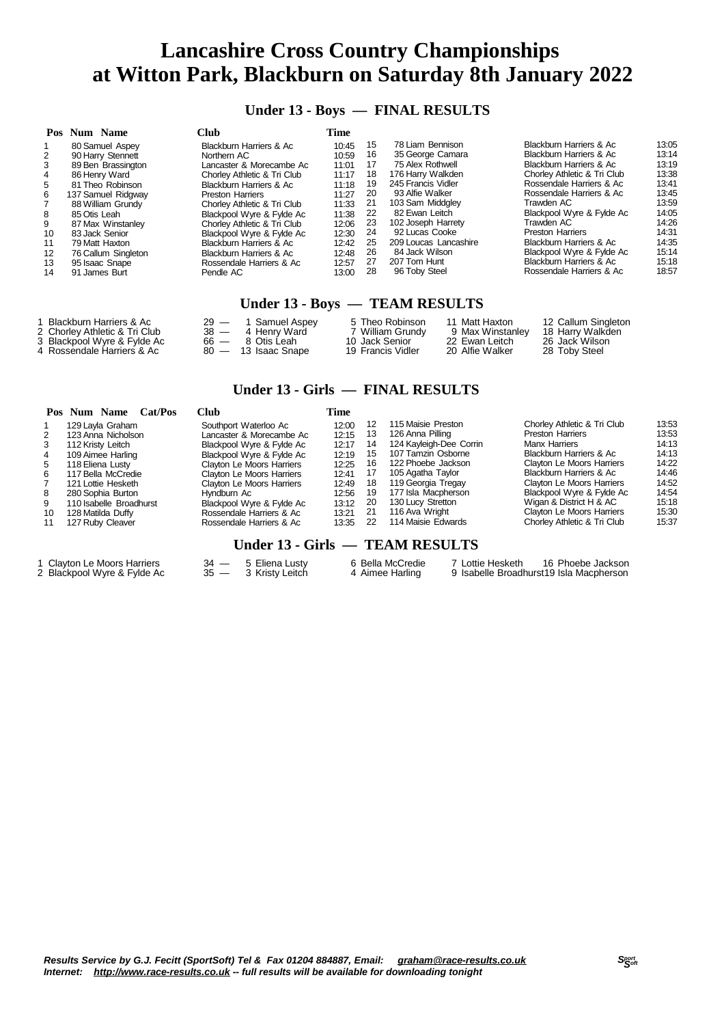#### **Under 13 - Boys — FINAL RESULTS**

|         | Pos Num Name        | Club                               | Time  |    |                       |                             |       |
|---------|---------------------|------------------------------------|-------|----|-----------------------|-----------------------------|-------|
|         | 80 Samuel Aspey     | Blackburn Harriers & Ac            | 10:45 | 15 | 78 Liam Bennison      | Blackburn Harriers & Ac     | 13:05 |
|         | 90 Harry Stennett   | Northern AC                        | 10:59 | 16 | 35 George Camara      | Blackburn Harriers & Ac     | 13:14 |
|         | 89 Ben Brassington  | Lancaster & Morecambe Ac           | 11:01 | 17 | 75 Alex Rothwell      | Blackburn Harriers & Ac     | 13:19 |
|         | 86 Henry Ward       | Chorley Athletic & Tri Club        | 11:17 | 18 | 176 Harry Walkden     | Chorley Athletic & Tri Club | 13:38 |
| 5       | 81 Theo Robinson    | <b>Blackburn Harriers &amp; Ac</b> | 11:18 | 19 | 245 Francis Vidler    | Rossendale Harriers & Ac    | 13:41 |
| 6       | 137 Samuel Ridgway  | <b>Preston Harriers</b>            | 11:27 | 20 | 93 Alfie Walker       | Rossendale Harriers & Ac    | 13:45 |
|         | 88 William Grundy   | Chorley Athletic & Tri Club        | 11:33 | 21 | 103 Sam Middgley      | Trawden AC                  | 13:59 |
| 8       | 85 Otis Leah        | Blackpool Wyre & Fylde Ac          | 11:38 | 22 | 82 Ewan Leitch        | Blackpool Wyre & Fylde Ac   | 14:05 |
| 9       | 87 Max Winstanley   | Chorley Athletic & Tri Club        | 12:06 | 23 | 102 Joseph Harrety    | Trawden AC                  | 14:26 |
| 10      | 83 Jack Senior      | Blackpool Wyre & Fylde Ac          | 12:30 | 24 | 92 Lucas Cooke        | <b>Preston Harriers</b>     | 14:31 |
| 11      | 79 Matt Haxton      | Blackburn Harriers & Ac            | 12:42 | 25 | 209 Loucas Lancashire | Blackburn Harriers & Ac     | 14:35 |
| $12 \,$ | 76 Callum Singleton | Blackburn Harriers & Ac            | 12:48 | 26 | 84 Jack Wilson        | Blackpool Wyre & Fylde Ac   | 15:14 |
| 13      | 95 Isaac Snape      | Rossendale Harriers & Ac           | 12:57 | 27 | 207 Tom Hunt          | Blackburn Harriers & Ac     | 15:18 |
| 14      | 91 James Burt       | Pendle AC                          | 13:00 | 28 | 96 Toby Steel         | Rossendale Harriers & Ac    | 18:57 |

#### **Under 13 - Boys — TEAM RESULTS**

| Blackburn Harriers & Ac       | $29 -$ | 1 Samuel Aspey        | 5 Theo Robinson   | 11 Matt Haxton   | 12 Callum Singleton |
|-------------------------------|--------|-----------------------|-------------------|------------------|---------------------|
| 2 Chorley Athletic & Tri Club | $38 -$ | 4 Henry Ward          | 7 William Grundy  | 9 Max Winstanlev | 18 Harry Walkden    |
| 3 Blackpool Wyre & Fylde Ac   |        | $66 - 8$ Otis Leah    | 10 Jack Senior    | 22 Ewan Leitch   | 26 Jack Wilson      |
| 4 Rossendale Harriers & Ac    |        | $80 - 13$ Isaac Snape | 19 Francis Vidler | 20 Alfie Walker  | 28 Toby Steel       |

#### **Under 13 - Girls — FINAL RESULTS**

|    | Pos Num Name<br>Cat/Pos | Club                      | Time  |    |                         |                                  |       |
|----|-------------------------|---------------------------|-------|----|-------------------------|----------------------------------|-------|
|    | 129 Layla Graham        | Southport Waterloo Ac     | 12:00 | 12 | 115 Maisie Preston      | Chorley Athletic & Tri Club      | 13:53 |
|    | 123 Anna Nicholson      | Lancaster & Morecambe Ac  | 12:15 | 13 | 126 Anna Pilling        | <b>Preston Harriers</b>          | 13:53 |
|    | 112 Kristy Leitch       | Blackpool Wyre & Fylde Ac | 12:17 | 14 | 124 Kayleigh-Dee Corrin | Manx Harriers                    | 14:13 |
|    | 109 Aimee Harling       | Blackpool Wyre & Fylde Ac | 12:19 | 15 | 107 Tamzin Osborne      | Blackburn Harriers & Ac          | 14:13 |
| 5  | 118 Eliena Lusty        | Clayton Le Moors Harriers | 12:25 | 16 | 122 Phoebe Jackson      | Clayton Le Moors Harriers        | 14:22 |
|    | 117 Bella McCredie      | Clayton Le Moors Harriers | 12:41 | 17 | 105 Agatha Taylor       | Blackburn Harriers & Ac          | 14:46 |
|    | 121 Lottie Hesketh      | Clayton Le Moors Harriers | 12:49 | 18 | 119 Georgia Tregay      | <b>Clayton Le Moors Harriers</b> | 14:52 |
| 8  | 280 Sophia Burton       | Hyndburn Ac               | 12:56 | 19 | 177 Isla Macpherson     | Blackpool Wyre & Fylde Ac        | 14:54 |
| 9  | 110 Isabelle Broadhurst | Blackpool Wyre & Fylde Ac | 13:12 | 20 | 130 Lucy Stretton       | Wigan & District H & AC          | 15:18 |
| 10 | 128 Matilda Duffy       | Rossendale Harriers & Ac  | 13:21 | 21 | 116 Ava Wright          | Clayton Le Moors Harriers        | 15:30 |
|    | 127 Ruby Cleaver        | Rossendale Harriers & Ac  | 13:35 | 22 | 114 Maisie Edwards      | Chorley Athletic & Tri Club      | 15:37 |
|    |                         |                           |       |    |                         |                                  |       |

#### **Under 13 - Girls — TEAM RESULTS**

1 Clayton Le Moors Harriers 34 - 5 Eliena Lusty 6 Bella McCredie 7 Lottie Hesketh 16 Phoebe Jackson<br>2 Blackpool Wyre & Fylde Ac 35 - 3 Kristy Leitch 4 Aimee Harling 9 Isabelle Broadhurst19 Isla Macpherson 9 Isabelle Broadhurst19 Isla Macpherson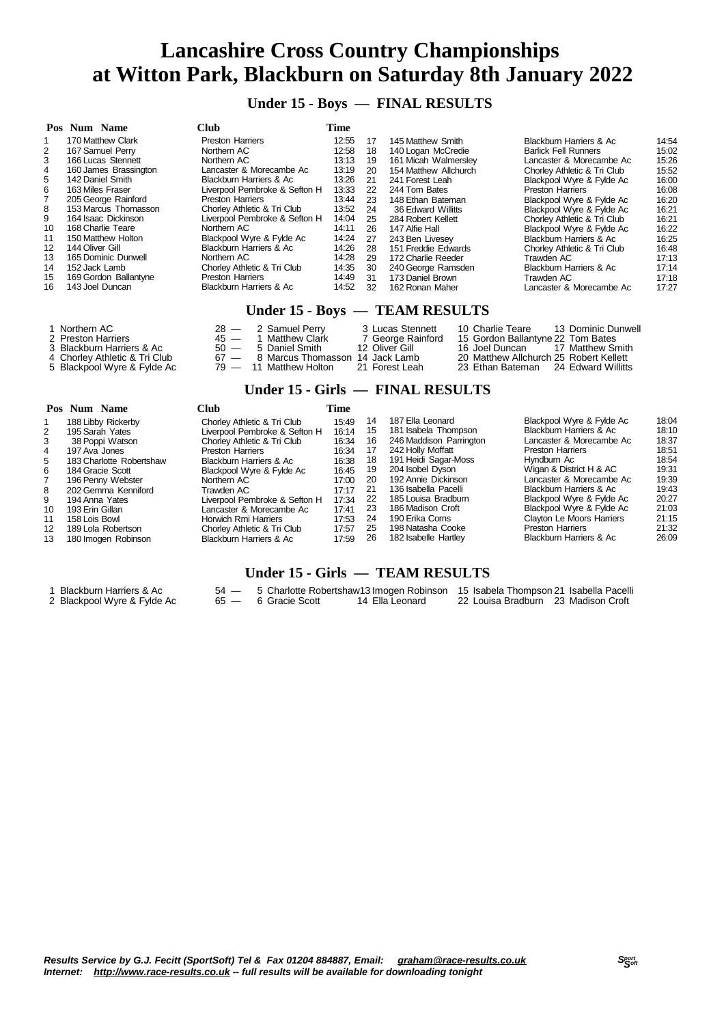**Under 15 - Boys — FINAL RESULTS**

|    | Pos Num Name          | Club                               | Time  |    |                       |                             |       |
|----|-----------------------|------------------------------------|-------|----|-----------------------|-----------------------------|-------|
|    | 170 Matthew Clark     | <b>Preston Harriers</b>            | 12:55 | 17 | 145 Matthew Smith     | Blackburn Harriers & Ac     | 14:54 |
| 2  | 167 Samuel Perry      | Northern AC                        | 12:58 | 18 | 140 Logan McCredie    | <b>Barlick Fell Runners</b> | 15:02 |
| 3  | 166 Lucas Stennett    | Northern AC                        | 13:13 | 19 | 161 Micah Walmerslev  | Lancaster & Morecambe Ac    | 15:26 |
| 4  | 160 James Brassington | Lancaster & Morecambe Ac           | 13:19 | 20 | 154 Matthew Allchurch | Chorley Athletic & Tri Club | 15:52 |
| 5. | 142 Daniel Smith      | Blackburn Harriers & Ac            | 13:26 | 21 | 241 Forest Leah       | Blackpool Wyre & Fylde Ac   | 16:00 |
| 6  | 163 Miles Fraser      | Liverpool Pembroke & Sefton H      | 13:33 | 22 | 244 Tom Bates         | <b>Preston Harriers</b>     | 16:08 |
|    | 205 George Rainford   | <b>Preston Harriers</b>            | 13:44 | 23 | 148 Ethan Bateman     | Blackpool Wyre & Fylde Ac   | 16:20 |
| 8  | 153 Marcus Thomasson  | Chorley Athletic & Tri Club        | 13:52 | 24 | 36 Edward Willitts    | Blackpool Wyre & Fylde Ac   | 16:21 |
| 9  | 164 Isaac Dickinson   | Liverpool Pembroke & Sefton H      | 14:04 | 25 | 284 Robert Kellett    | Chorley Athletic & Tri Club | 16:21 |
| 10 | 168 Charlie Teare     | Northern AC                        | 14:11 | 26 | 147 Alfie Hall        | Blackpool Wyre & Fylde Ac   | 16:22 |
| 11 | 150 Matthew Holton    | Blackpool Wyre & Fylde Ac          | 14:24 | 27 | 243 Ben Livesev       | Blackburn Harriers & Ac     | 16:25 |
| 12 | 144 Oliver Gill       | Blackburn Harriers & Ac            | 14:26 | 28 | 151 Freddie Edwards   | Chorley Athletic & Tri Club | 16:48 |
| 13 | 165 Dominic Dunwell   | Northern AC                        | 14:28 | 29 | 172 Charlie Reeder    | Trawden AC                  | 17:13 |
| 14 | 152 Jack Lamb         | Chorley Athletic & Tri Club        | 14:35 | 30 | 240 George Ramsden    | Blackburn Harriers & Ac     | 17:14 |
| 15 | 169 Gordon Ballantyne | <b>Preston Harriers</b>            | 14:49 | 31 | 173 Daniel Brown      | Trawden AC                  | 17:18 |
| 16 | 143 Joel Duncan       | <b>Blackburn Harriers &amp; Ac</b> | 14:52 | 32 | 162 Ronan Maher       | Lancaster & Morecambe Ac    | 17:27 |

#### **Under 15 - Boys — TEAM RESULTS**

| 1 Northern AC<br>2 Preston Harriers<br>3 Blackburn Harriers & Ac | $28 - 2$ Samuel Perry<br>45 - 1 Matthew Clark<br>$50 - 5$ Daniel Smith | 3 Lucas Stennett<br>7 George Rainford<br>12 Oliver Gill | 10 Charlie Teare<br>13 Dominic Dunwell<br>15 Gordon Ballantvne 22 Tom Bates<br>16 Joel Duncan 17 Matthew Smith |
|------------------------------------------------------------------|------------------------------------------------------------------------|---------------------------------------------------------|----------------------------------------------------------------------------------------------------------------|
| 4 Chorlev Athletic & Tri Club_                                   | 67 — 8 Marcus Thomasson 14 Jack Lamb                                   |                                                         | 20 Matthew Allchurch 25 Robert Kellett                                                                         |
| 5 Blackpool Wyre & Fylde Ac                                      | 79 — 11 Matthew Holton                                                 | 21 Forest Leah                                          | 23 Ethan Bateman 24 Edward Willitts                                                                            |

#### **Under 15 - Girls — FINAL RESULTS**

|                 | Pos Num Name             | Club                          | Time  |    |                         |                                    |       |
|-----------------|--------------------------|-------------------------------|-------|----|-------------------------|------------------------------------|-------|
|                 | 188 Libby Rickerby       | Chorley Athletic & Tri Club   | 15:49 | 14 | 187 Ella Leonard        | Blackpool Wyre & Fylde Ac          | 18:04 |
| 2               | 195 Sarah Yates          | Liverpool Pembroke & Sefton H | 16:14 | 15 | 181 Isabela Thompson    | Blackburn Harriers & Ac            | 18:10 |
| 3               | 38 Poppi Watson          | Chorley Athletic & Tri Club   | 16:34 | 16 | 246 Maddison Parrington | Lancaster & Morecambe Ac           | 18:37 |
| 4               | 197 Ava Jones            | <b>Preston Harriers</b>       | 16:34 | 17 | 242 Holly Moffatt       | <b>Preston Harriers</b>            | 18:51 |
| 5               | 183 Charlotte Robertshaw | Blackburn Harriers & Ac       | 16:38 | 18 | 191 Heidi Sagar-Moss    | Hyndburn Ac                        | 18:54 |
| 6               | 184 Gracie Scott         | Blackpool Wyre & Fylde Ac     | 16:45 | 19 | 204 Isobel Dyson        | Wigan & District H & AC            | 19:31 |
|                 | 196 Penny Webster        | Northern AC                   | 17:00 | 20 | 192 Annie Dickinson     | Lancaster & Morecambe Ac           | 19:39 |
| 8               | 202 Gemma Kenniford      | Trawden AC                    | 17:17 | 21 | 136 Isabella Pacelli    | Blackburn Harriers & Ac            | 19:43 |
| 9               | 194 Anna Yates           | Liverpool Pembroke & Sefton H | 17:34 | 22 | 185 Louisa Bradburn     | Blackpool Wyre & Fylde Ac          | 20:27 |
| 10              | 193 Erin Gillan          | Lancaster & Morecambe Ac      | 17:41 | 23 | 186 Madison Croft       | Blackpool Wyre & Fylde Ac          | 21:03 |
| 11              | 158 Lois Bowl            | Horwich Rmi Harriers          | 17:53 | 24 | 190 Erika Corns         | Clayton Le Moors Harriers          | 21:15 |
| 12 <sup>°</sup> | 189 Lola Robertson       | Chorley Athletic & Tri Club   | 17:57 | 25 | 198 Natasha Cooke       | <b>Preston Harriers</b>            | 21:32 |
| 13              | 180 Imogen Robinson      | Blackburn Harriers & Ac       | 17:59 | 26 | 182 Isabelle Hartley    | <b>Blackburn Harriers &amp; Ac</b> | 26:09 |

#### **Under 15 - Girls — TEAM RESULTS**

- Blackburn Harriers & Ac 54 5 Charlotte Robertshaw13 Imogen Robinson 15 Isabela Thompson 21 Isabella Pacelli 2 Blackpool Wyre & Fylde Ac 65 — 6 Gracie Scott 14 Ella Leonard 22 Louisa Bradburn 23 Madison Croft
- 
-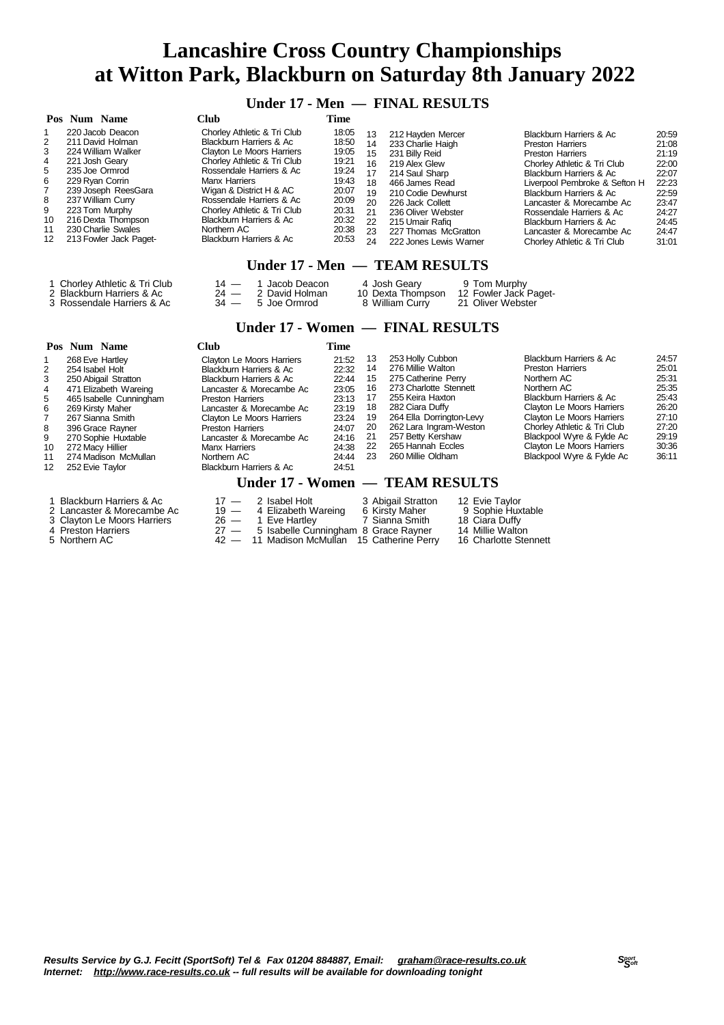**Under 17 - Men — FINAL RESULTS**

|                                                   | Pos Num Name                                                                                                                                                                                                                                          | Club                                                                                                                                                                                                                                                                                                                                         | Time                                                                                                     |                                                                      |                                                                                                                                                                                                                                                    |                                                                                                                                                                                                                                                                                                                                                   |                                                                                                          |
|---------------------------------------------------|-------------------------------------------------------------------------------------------------------------------------------------------------------------------------------------------------------------------------------------------------------|----------------------------------------------------------------------------------------------------------------------------------------------------------------------------------------------------------------------------------------------------------------------------------------------------------------------------------------------|----------------------------------------------------------------------------------------------------------|----------------------------------------------------------------------|----------------------------------------------------------------------------------------------------------------------------------------------------------------------------------------------------------------------------------------------------|---------------------------------------------------------------------------------------------------------------------------------------------------------------------------------------------------------------------------------------------------------------------------------------------------------------------------------------------------|----------------------------------------------------------------------------------------------------------|
| 2<br>3<br>4<br>5<br>6<br>8<br>9<br>10<br>11<br>12 | 220 Jacob Deacon<br>211 David Holman<br>224 William Walker<br>221 Josh Geary<br>235 Joe Ormrod<br>229 Ryan Corrin<br>239 Joseph ReesGara<br>237 William Curry<br>223 Tom Murphy<br>216 Dexta Thompson<br>230 Charlie Swales<br>213 Fowler Jack Paget- | Chorley Athletic & Tri Club<br>Blackburn Harriers & Ac<br>Clayton Le Moors Harriers<br>Chorley Athletic & Tri Club<br>Rossendale Harriers & Ac<br><b>Manx Harriers</b><br>Wigan & District H & AC<br>Rossendale Harriers & Ac<br>Chorley Athletic & Tri Club<br><b>Blackburn Harriers &amp; Ac</b><br>Northern AC<br>Blackburn Harriers & Ac | 18:05<br>18:50<br>19:05<br>19:21<br>19:24<br>19:43<br>20:07<br>20:09<br>20:31<br>20:32<br>20:38<br>20:53 | 13<br>14<br>15<br>16<br>17<br>18<br>19<br>20<br>21<br>22<br>23<br>24 | 212 Hayden Mercer<br>233 Charlie Haigh<br>231 Billy Reid<br>219 Alex Glew<br>214 Saul Sharp<br>466 James Read<br>210 Codie Dewhurst<br>226 Jack Collett<br>236 Oliver Webster<br>215 Umair Rafig<br>227 Thomas McGratton<br>222 Jones Lewis Warner | Blackburn Harriers & Ac<br><b>Preston Harriers</b><br><b>Preston Harriers</b><br>Chorley Athletic & Tri Club<br>Blackburn Harriers & Ac<br>Liverpool Pembroke & Sefton H<br>Blackburn Harriers & Ac<br>Lancaster & Morecambe Ac<br>Rossendale Harriers & Ac<br>Blackburn Harriers & Ac<br>Lancaster & Morecambe Ac<br>Chorley Athletic & Tri Club | 20:59<br>21:08<br>21:19<br>22:00<br>22:07<br>22:23<br>22:59<br>23:47<br>24:27<br>24:45<br>24:47<br>31:01 |

#### **Under 17 - Men — TEAM RESULTS**

| 1 Chorley Athletic & Tri Club | $14 - 1$ Jacob Deacon | 4 Josh Geary      | 9 Tom Murphy          |
|-------------------------------|-----------------------|-------------------|-----------------------|
| 2 Blackburn Harriers & Ac     | $24 - 2$ David Holman | 10 Dexta Thompson | 12 Fowler Jack Paget- |
| 3 Rossendale Harriers & Ac    | $34 - 5$ Joe Ormrod   | 8 William Curry   | 21 Oliver Webster     |

#### **Under 17 - Women — FINAL RESULTS**

|                   | Pos Num Name                                            | <b>Club</b>                                                               | Time                            |    |                                                                                                        |                                  |       |
|-------------------|---------------------------------------------------------|---------------------------------------------------------------------------|---------------------------------|----|--------------------------------------------------------------------------------------------------------|----------------------------------|-------|
|                   | 268 Eve Hartley                                         | Clayton Le Moors Harriers                                                 | 21:52                           | 13 | 253 Holly Cubbon                                                                                       | Blackburn Harriers & Ac          | 24:57 |
| 2                 | 254 Isabel Holt                                         | Blackburn Harriers & Ac                                                   | 22:32                           | 14 | 276 Millie Walton                                                                                      | <b>Preston Harriers</b>          | 25:01 |
| 3                 | 250 Abigail Stratton                                    | Blackburn Harriers & Ac                                                   | 22:44                           | 15 | 275 Catherine Perry                                                                                    | Northern AC                      | 25:31 |
| 4                 | 471 Elizabeth Wareing                                   | Lancaster & Morecambe Ac                                                  | 23:05                           | 16 | 273 Charlotte Stennett                                                                                 | Northern AC                      | 25:35 |
| 5                 | 465 Isabelle Cunningham                                 | <b>Preston Harriers</b>                                                   | 23:13                           | 17 | 255 Keira Haxton                                                                                       | Blackburn Harriers & Ac          | 25:43 |
| 6                 | 269 Kirsty Maher                                        | Lancaster & Morecambe Ac                                                  | 23:19                           | 18 | 282 Ciara Duffy                                                                                        | Clayton Le Moors Harriers        | 26:20 |
|                   | 267 Sianna Smith                                        | Clayton Le Moors Harriers                                                 | 23:24                           | 19 | 264 Ella Dorrington-Levy                                                                               | <b>Clayton Le Moors Harriers</b> | 27:10 |
| 8                 | 396 Grace Rayner                                        | <b>Preston Harriers</b>                                                   | 24:07                           | 20 | 262 Lara Ingram-Weston                                                                                 | Chorley Athletic & Tri Club      | 27:20 |
| 9                 | 270 Sophie Huxtable                                     | Lancaster & Morecambe Ac                                                  | 24:16                           | 21 | 257 Betty Kershaw                                                                                      | Blackpool Wyre & Fylde Ac        | 29:19 |
| 10                | 272 Macy Hillier                                        | <b>Manx Harriers</b>                                                      | 24:38                           | 22 | 265 Hannah Eccles                                                                                      | Clayton Le Moors Harriers        | 30:36 |
| 11                | 274 Madison McMullan                                    | Northern AC                                                               | 24:44                           | 23 | 260 Millie Oldham                                                                                      | Blackpool Wyre & Fylde Ac        | 36:11 |
| $12 \overline{ }$ | 252 Evie Taylor                                         | Blackburn Harriers & Ac                                                   | 24:51                           |    |                                                                                                        |                                  |       |
|                   |                                                         |                                                                           | Under 17 - Women — TEAM RESULTS |    |                                                                                                        |                                  |       |
|                   | 1 Blackburn Harriers & Ac<br>2 Lancaster & Morecambe Ac | 2 Isabel Holt<br>$17 -$<br>$19 -$<br>4 Elizabeth Wareing<br>$\sim$ $\sim$ |                                 |    | 3 Abigail Stratton<br>12 Evie Tavlor<br>6 Kirsty Maher<br>9 Sophie Huxtable<br>$\sim$ $\sim$<br>$\sim$ |                                  |       |

- 
- 
- 

### Clayton Le Moors Harriers 26 — 1 Eve Hartley 7 Sianna Smith 18 Ciara Duffy Preston Harriers 27 — 5 Isabelle Cunningham 8 Grace Rayner 14 Millie Walton

5 Northern AC 42 — 11 Madison McMullan 15 Catherine Perry 16 Charlotte Stennett

- 
- 
-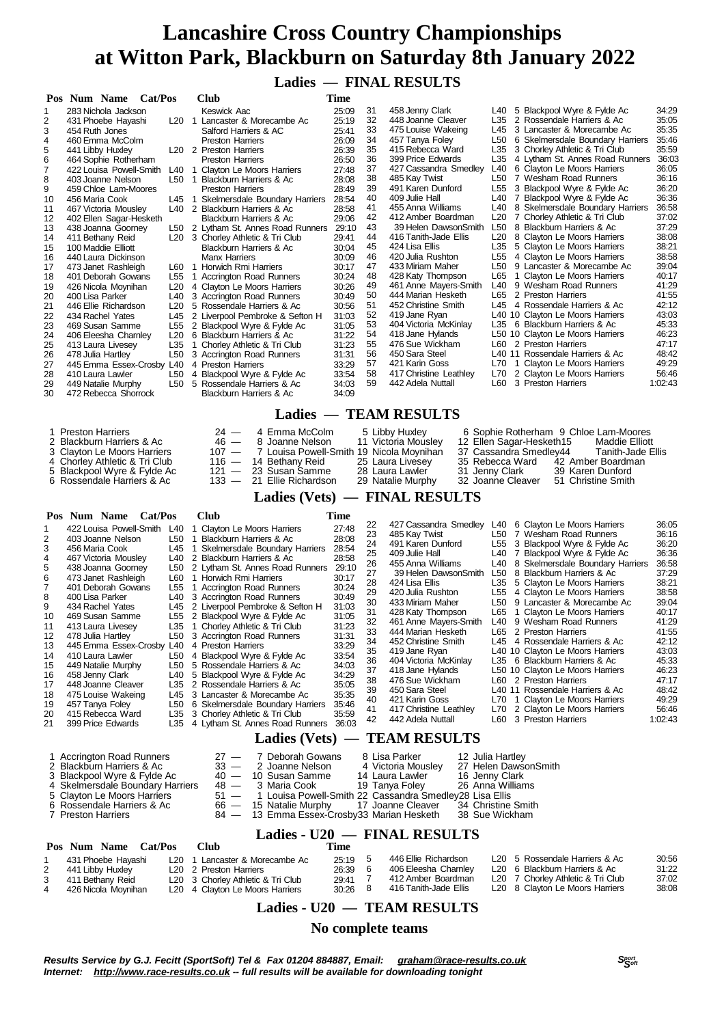### **Ladies — FINAL RESULTS**

|                                                                                                                                                                         | Cat/Pos<br>Pos Num Name                                                                                                                                                                                                                                                                                                                                                                                                                                                                                                                                                                                                                                   |                                                                    | Club                                                                                                                                                                                                                                                                                                                                                                                                                                                                                                                                                                                                                                                                                                                                                                                                                                                                                                                                                                | Time                                                                                                                                                                                                                                                              |                                                                                                                                                                            |                                                                                                                                                                                                                                                                                                                                                                                                                                                                                                                                                                                                                                |                                        |                                                                                                                                                                                                                                                                                                                                                                                                                                                                                                                                                                                                                                                                                                                                                                                                                                                                                                                                                                                                  |                                                                                                                                                                                                                                                                     |
|-------------------------------------------------------------------------------------------------------------------------------------------------------------------------|-----------------------------------------------------------------------------------------------------------------------------------------------------------------------------------------------------------------------------------------------------------------------------------------------------------------------------------------------------------------------------------------------------------------------------------------------------------------------------------------------------------------------------------------------------------------------------------------------------------------------------------------------------------|--------------------------------------------------------------------|---------------------------------------------------------------------------------------------------------------------------------------------------------------------------------------------------------------------------------------------------------------------------------------------------------------------------------------------------------------------------------------------------------------------------------------------------------------------------------------------------------------------------------------------------------------------------------------------------------------------------------------------------------------------------------------------------------------------------------------------------------------------------------------------------------------------------------------------------------------------------------------------------------------------------------------------------------------------|-------------------------------------------------------------------------------------------------------------------------------------------------------------------------------------------------------------------------------------------------------------------|----------------------------------------------------------------------------------------------------------------------------------------------------------------------------|--------------------------------------------------------------------------------------------------------------------------------------------------------------------------------------------------------------------------------------------------------------------------------------------------------------------------------------------------------------------------------------------------------------------------------------------------------------------------------------------------------------------------------------------------------------------------------------------------------------------------------|----------------------------------------|--------------------------------------------------------------------------------------------------------------------------------------------------------------------------------------------------------------------------------------------------------------------------------------------------------------------------------------------------------------------------------------------------------------------------------------------------------------------------------------------------------------------------------------------------------------------------------------------------------------------------------------------------------------------------------------------------------------------------------------------------------------------------------------------------------------------------------------------------------------------------------------------------------------------------------------------------------------------------------------------------|---------------------------------------------------------------------------------------------------------------------------------------------------------------------------------------------------------------------------------------------------------------------|
| 1<br>2<br>3<br>4<br>5<br>6<br>7<br>8<br>9<br>10<br>11<br>12<br>13<br>14<br>15<br>16<br>17<br>18<br>19<br>20<br>21<br>22<br>23<br>24<br>25<br>26<br>27<br>28<br>29<br>30 | 283 Nichola Jackson<br>431 Phoebe Hayashi<br>454 Ruth Jones<br>460 Emma McColm<br>441 Libby Huxley<br>464 Sophie Rotherham<br>403 Joanne Nelson<br>459 Chloe Lam-Moores<br>456 Maria Cook<br>467 Victoria Mousley<br>402 Ellen Sagar-Hesketh<br>438 Joanna Goorney<br>411 Bethany Reid<br>100 Maddie Elliott<br>440 Laura Dickinson<br>473 Janet Rashleigh<br>401 Deborah Gowans<br>426 Nicola Moynihan<br>400 Lisa Parker<br>446 Ellie Richardson<br>434 Rachel Yates<br>469 Susan Samme<br>406 Eleesha Chamley<br>413 Laura Livesey<br>478 Julia Hartley<br>445 Emma Essex-Crosby L40<br>410 Laura Lawler<br>449 Natalie Murphy<br>472 Rebecca Shorrock | L20<br>L40<br>L20<br>L45<br>L20<br>L35<br>L50<br>L50<br>L50        | Keswick Aac<br>L20 1 Lancaster & Morecambe Ac<br>Salford Harriers & AC<br>Preston Harriers<br>L <sub>20</sub> 2 Preston Harriers<br><b>Preston Harriers</b><br>422 Louisa Powell-Smith L40 1 Clayton Le Moors Harriers<br>L50 1 Blackburn Harriers & Ac<br><b>Preston Harriers</b><br>L45 1 Skelmersdale Boundary Harriers<br>L40 2 Blackburn Harriers & Ac<br>Blackburn Harriers & Ac<br>L50 2 Lytham St. Annes Road Runners 29:10<br>L20 3 Chorley Athletic & Tri Club<br>Blackburn Harriers & Ac<br><b>Manx Harriers</b><br>L60 1 Horwich Rmi Harriers<br>L55 1 Accrington Road Runners<br>4 Clayton Le Moors Harriers<br>3 Accrington Road Runners<br>5 Rossendale Harriers & Ac<br>2 Liverpool Pembroke & Sefton H<br>L55 2 Blackpool Wyre & Fylde Ac<br>6 Blackburn Harriers & Ac<br>1 Chorley Athletic & Tri Club<br>3 Accrington Road Runners<br>4 Preston Harriers<br>4 Blackpool Wyre & Fylde Ac<br>5 Rossendale Harriers & Ac<br>Blackburn Harriers & Ac | 25:09<br>25:19<br>25:41<br>26:09<br>26:39<br>26:50<br>27:48<br>28:08<br>28:49<br>28:54<br>28:58<br>29:06<br>29:41<br>30:04<br>30:09<br>30:17<br>30:24<br>30:26<br>30:49<br>30:56<br>31:03<br>31:05<br>31:22<br>31:23<br>31:31<br>33:29<br>33:54<br>34:03<br>34:09 | 31<br>32<br>33<br>34<br>35<br>36<br>37<br>38<br>39<br>40<br>41<br>42<br>43<br>44<br>45<br>46<br>47<br>48<br>49<br>50<br>51<br>52<br>53<br>54<br>55<br>56<br>57<br>58<br>59 | 458 Jenny Clark<br>448 Joanne Cleaver<br>475 Louise Wakeing<br>457 Tanya Foley<br>415 Rebecca Ward<br>399 Price Edwards<br>427 Cassandra Smedley<br>485 Kay Twist<br>491 Karen Dunford<br>409 Julie Hall<br>455 Anna Williams<br>412 Amber Boardman<br>39 Helen DawsonSmith<br>416 Tanith-Jade Ellis<br>424 Lisa Ellis<br>420 Julia Rushton<br>433 Miriam Maher<br>428 Katy Thompson<br>461 Anne Mayers-Smith<br>444 Marian Hesketh<br>452 Christine Smith<br>419 Jane Ryan<br>404 Victoria McKinlay<br>418 Jane Hylands<br>476 Sue Wickham<br>450 Sara Steel<br>421 Karin Goss<br>417 Christine Leathley<br>442 Adela Nuttall | L35<br>L40<br>L55<br>L65<br>L70<br>L60 | L40 5 Blackpool Wyre & Fylde Ac<br>L35 2 Rossendale Harriers & Ac<br>L45 3 Lancaster & Morecambe Ac<br>L50 6 Skelmersdale Boundary Harriers<br>L35 3 Chorley Athletic & Tri Club<br>4 Lytham St. Annes Road Runners<br>6 Clayton Le Moors Harriers<br>L50 7 Wesham Road Runners<br>3 Blackpool Wyre & Fylde Ac<br>L40 7 Blackpool Wyre & Fylde Ac<br>L40 8 Skelmersdale Boundary Harriers<br>L20 7 Chorley Athletic & Tri Club<br>L50 8 Blackburn Harriers & Ac<br>L20 8 Clayton Le Moors Harriers<br>L35 5 Clayton Le Moors Harriers<br>L55 4 Clayton Le Moors Harriers<br>L50 9 Lancaster & Morecambe Ac<br>1 Clayton Le Moors Harriers<br>L40 9 Wesham Road Runners<br>L65 2 Preston Harriers<br>L45 4 Rossendale Harriers & Ac<br>L40 10 Clayton Le Moors Harriers<br>L35 6 Blackburn Harriers & Ac<br>L50 10 Clayton Le Moors Harriers<br>L60 2 Preston Harriers<br>L40 11 Rossendale Harriers & Ac<br>L70 1 Clayton Le Moors Harriers<br>2 Clayton Le Moors Harriers<br>3 Preston Harriers | 34:29<br>35:05<br>35:35<br>35:46<br>35:59<br>36:03<br>36:05<br>36:16<br>36:20<br>36:36<br>36:58<br>37:02<br>37:29<br>38:08<br>38:21<br>38:58<br>39:04<br>40:17<br>41:29<br>41:55<br>42:12<br>43:03<br>45:33<br>46:23<br>47:17<br>48:42<br>49:29<br>56:46<br>1:02:43 |
|                                                                                                                                                                         |                                                                                                                                                                                                                                                                                                                                                                                                                                                                                                                                                                                                                                                           |                                                                    |                                                                                                                                                                                                                                                                                                                                                                                                                                                                                                                                                                                                                                                                                                                                                                                                                                                                                                                                                                     |                                                                                                                                                                                                                                                                   |                                                                                                                                                                            | <b>Ladies — TEAM RESULTS</b>                                                                                                                                                                                                                                                                                                                                                                                                                                                                                                                                                                                                   |                                        |                                                                                                                                                                                                                                                                                                                                                                                                                                                                                                                                                                                                                                                                                                                                                                                                                                                                                                                                                                                                  |                                                                                                                                                                                                                                                                     |
| 4                                                                                                                                                                       | 1 Preston Harriers<br>2 Blackburn Harriers & Ac<br>3 Clayton Le Moors Harriers<br>Chorley Athletic & Tri Club<br>5 Blackpool Wyre & Fylde Ac<br>6 Rossendale Harriers & Ac                                                                                                                                                                                                                                                                                                                                                                                                                                                                                |                                                                    | 4 Emma McColm<br>24 —<br>$46 -$<br>8 Joanne Nelson<br>$107 -$<br>7 Louisa Powell-Smith 19 Nicola Moynihan<br>$116 -$<br>14 Bethany Reid<br>$121 -$<br>23 Susan Samme<br>$133 -$<br>21 Ellie Richardson                                                                                                                                                                                                                                                                                                                                                                                                                                                                                                                                                                                                                                                                                                                                                              |                                                                                                                                                                                                                                                                   |                                                                                                                                                                            | 5 Libby Huxley<br>11 Victoria Mousley<br>25 Laura Livesey<br>35 Rebecca Ward<br>28 Laura Lawler<br>31 Jenny Clark<br>29 Natalie Murphy<br>Ladies (Vets) — FINAL RESULTS                                                                                                                                                                                                                                                                                                                                                                                                                                                        |                                        | 6 Sophie Rotherham 9 Chloe Lam-Moores<br>12 Ellen Sagar-Hesketh15<br>Maddie Elliott<br>37 Cassandra Smedley44<br><b>Tanith-Jade Ellis</b><br>42 Amber Boardman<br>39 Karen Dunford<br>32 Joanne Cleaver<br>51 Christine Smith                                                                                                                                                                                                                                                                                                                                                                                                                                                                                                                                                                                                                                                                                                                                                                    |                                                                                                                                                                                                                                                                     |
|                                                                                                                                                                         |                                                                                                                                                                                                                                                                                                                                                                                                                                                                                                                                                                                                                                                           |                                                                    |                                                                                                                                                                                                                                                                                                                                                                                                                                                                                                                                                                                                                                                                                                                                                                                                                                                                                                                                                                     |                                                                                                                                                                                                                                                                   |                                                                                                                                                                            |                                                                                                                                                                                                                                                                                                                                                                                                                                                                                                                                                                                                                                |                                        |                                                                                                                                                                                                                                                                                                                                                                                                                                                                                                                                                                                                                                                                                                                                                                                                                                                                                                                                                                                                  |                                                                                                                                                                                                                                                                     |
| 1<br>2<br>3<br>4<br>5<br>6<br>7<br>8<br>9<br>10<br>11<br>12<br>13<br>14<br>15<br>16<br>17                                                                               | Pos Num Name<br>Cat/Pos<br>422 Louisa Powell-Smith L40<br>403 Joanne Nelson<br>456 Maria Cook<br>467 Victoria Mousley<br>438 Joanna Goorney<br>473 Janet Rashleigh<br>401 Deborah Gowans<br>400 Lisa Parker<br>434 Rachel Yates<br>469 Susan Samme<br>413 Laura Livesey<br>478 Julia Hartley<br>445 Emma Essex-Crosby L40<br>410 Laura Lawler<br>449 Natalie Murphy<br>458 Jenny Clark                                                                                                                                                                                                                                                                    | L50<br>L45<br>L40<br>L50<br>L55<br>L40<br>L45<br>L50<br>L50<br>L40 | <b>Club</b><br>1 Clayton Le Moors Harriers<br>1 Blackburn Harriers & Ac<br>1 Skelmersdale Boundary Harriers 28:54<br>2 Blackburn Harriers & Ac<br>2 Lytham St. Annes Road Runners 29:10<br>L60 1 Horwich Rmi Harriers<br>1 Accrington Road Runners<br>3 Accrington Road Runners<br>2 Liverpool Pembroke & Sefton H<br>L55 2 Blackpool Wyre & Fylde Ac<br>L35 1 Chorley Athletic & Tri Club<br>3 Accrington Road Runners<br>4 Preston Harriers<br>4 Blackpool Wyre & Fylde Ac<br>L50 5 Rossendale Harriers & Ac<br>5 Blackpool Wyre & Fylde Ac                                                                                                                                                                                                                                                                                                                                                                                                                       | Time<br>27:48<br>28:08<br>28:58<br>30:17<br>30:24<br>30:49<br>31:03<br>31:05<br>31:23<br>31:31<br>33:29<br>33:54<br>34:03<br>34:29                                                                                                                                | 22<br>23<br>24<br>25<br>26<br>27<br>28<br>29<br>30<br>31<br>32<br>33<br>34<br>35<br>36<br>37<br>38                                                                         | 427 Cassandra Smedley<br>485 Kay Twist<br>491 Karen Dunford<br>409 Julie Hall<br>455 Anna Williams<br>39 Helen DawsonSmith<br>424 Lisa Ellis<br>420 Julia Rushton<br>433 Miriam Maher<br>428 Katy Thompson<br>461 Anne Mayers-Smith<br>444 Marian Hesketh<br>452 Christine Smith<br>419 Jane Ryan<br>404 Victoria McKinlay<br>418 Jane Hylands<br>476 Sue Wickham                                                                                                                                                                                                                                                              | L55<br>L40<br>L35<br>L65               | L40 6 Clayton Le Moors Harriers<br>L50 7 Wesham Road Runners<br>3 Blackpool Wyre & Fylde Ac<br>7 Blackpool Wyre & Fylde Ac<br>L40 8 Skelmersdale Boundary Harriers<br>L50 8 Blackburn Harriers & Ac<br>5 Clayton Le Moors Harriers<br>L55 4 Clayton Le Moors Harriers<br>L50 9 Lancaster & Morecambe Ac<br>1 Clayton Le Moors Harriers<br>L40 9 Wesham Road Runners<br>L65 2 Preston Harriers<br>L45 4 Rossendale Harriers & Ac<br>L40 10 Clayton Le Moors Harriers<br>L35 6 Blackburn Harriers & Ac<br>L50 10 Clayton Le Moors Harriers<br>L60 2 Preston Harriers                                                                                                                                                                                                                                                                                                                                                                                                                               | 36:05<br>36:16<br>36:20<br>36:36<br>36:58<br>37:29<br>38:21<br>38:58<br>39:04<br>40:17<br>41:29<br>41:55<br>42:12<br>43:03<br>45:33<br>46:23<br>47:17                                                                                                               |
| 18<br>19<br>20<br>21                                                                                                                                                    | 448 Joanne Cleaver<br>475 Louise Wakeing<br>457 Tanya Foley<br>415 Rebecca Ward<br>399 Price Edwards                                                                                                                                                                                                                                                                                                                                                                                                                                                                                                                                                      | L35<br>L45<br>L50<br>L35                                           | 2 Rossendale Harriers & Ac<br>3 Lancaster & Morecambe Ac<br>6 Skelmersdale Boundary Harriers<br>3 Chorley Athletic & Tri Club<br>L35 4 Lytham St. Annes Road Runners 36:03                                                                                                                                                                                                                                                                                                                                                                                                                                                                                                                                                                                                                                                                                                                                                                                          | 35:05<br>35:35<br>35:46<br>35:59                                                                                                                                                                                                                                  | 39<br>40<br>41<br>42                                                                                                                                                       | 450 Sara Steel<br>421 Karin Goss<br>417 Christine Leathley<br>442 Adela Nuttall                                                                                                                                                                                                                                                                                                                                                                                                                                                                                                                                                |                                        | L40 11 Rossendale Harriers & Ac<br>L70 1 Clayton Le Moors Harriers<br>L70 2 Clayton Le Moors Harriers<br>L60 3 Preston Harriers                                                                                                                                                                                                                                                                                                                                                                                                                                                                                                                                                                                                                                                                                                                                                                                                                                                                  | 48:42<br>49:29<br>56:46<br>1:02:43                                                                                                                                                                                                                                  |
|                                                                                                                                                                         |                                                                                                                                                                                                                                                                                                                                                                                                                                                                                                                                                                                                                                                           |                                                                    | <b>Ladies</b> (Vets)                                                                                                                                                                                                                                                                                                                                                                                                                                                                                                                                                                                                                                                                                                                                                                                                                                                                                                                                                | $\hspace{0.05cm}$                                                                                                                                                                                                                                                 |                                                                                                                                                                            | <b>TEAM RESULTS</b>                                                                                                                                                                                                                                                                                                                                                                                                                                                                                                                                                                                                            |                                        |                                                                                                                                                                                                                                                                                                                                                                                                                                                                                                                                                                                                                                                                                                                                                                                                                                                                                                                                                                                                  |                                                                                                                                                                                                                                                                     |
| 1                                                                                                                                                                       | <b>Accrington Road Runners</b><br>2 Blackburn Harriers & Ac<br>3 Blackpool Wyre & Fylde Ac<br>4 Skelmersdale Boundary Harriers<br>5 Clayton Le Moors Harriers<br>6 Rossendale Harriers & Ac<br>7 Preston Harriers                                                                                                                                                                                                                                                                                                                                                                                                                                         |                                                                    | 7 Deborah Gowans<br>$27 -$<br>$33 -$<br>2 Joanne Nelson<br>$40 -$<br>10 Susan Samme<br>$48 -$<br>3 Maria Cook<br>$51 -$<br>$66 -$<br>15 Natalie Murphy<br>84<br>13 Emma Essex-Crosby33 Marian Hesketh                                                                                                                                                                                                                                                                                                                                                                                                                                                                                                                                                                                                                                                                                                                                                               |                                                                                                                                                                                                                                                                   |                                                                                                                                                                            | 8 Lisa Parker<br>12 Julia Hartley<br>4 Victoria Mouslev<br>14 Laura Lawler<br>16 Jenny Clark<br>19 Tanya Foley<br>26 Anna Williams<br>1 Louisa Powell-Smith 22 Cassandra Smedley28 Lisa Ellis<br>17 Joanne Cleaver<br>34 Christine Smith<br>38 Sue Wickham                                                                                                                                                                                                                                                                                                                                                                     |                                        | 27 Helen DawsonSmith                                                                                                                                                                                                                                                                                                                                                                                                                                                                                                                                                                                                                                                                                                                                                                                                                                                                                                                                                                             |                                                                                                                                                                                                                                                                     |
|                                                                                                                                                                         |                                                                                                                                                                                                                                                                                                                                                                                                                                                                                                                                                                                                                                                           |                                                                    |                                                                                                                                                                                                                                                                                                                                                                                                                                                                                                                                                                                                                                                                                                                                                                                                                                                                                                                                                                     |                                                                                                                                                                                                                                                                   |                                                                                                                                                                            | Ladies - U20 - FINAL RESULTS                                                                                                                                                                                                                                                                                                                                                                                                                                                                                                                                                                                                   |                                        |                                                                                                                                                                                                                                                                                                                                                                                                                                                                                                                                                                                                                                                                                                                                                                                                                                                                                                                                                                                                  |                                                                                                                                                                                                                                                                     |
| 2<br>3                                                                                                                                                                  | Pos Num Name<br>Cat/Pos<br>431 Phoebe Hayashi<br>441 Libby Huxley<br>411 Bethany Reid                                                                                                                                                                                                                                                                                                                                                                                                                                                                                                                                                                     | L20<br>L20<br>L20                                                  | Club<br>1 Lancaster & Morecambe Ac<br>2 Preston Harriers<br>3 Chorley Athletic & Tri Club                                                                                                                                                                                                                                                                                                                                                                                                                                                                                                                                                                                                                                                                                                                                                                                                                                                                           | Time<br>25:19<br>26:39<br>29:41                                                                                                                                                                                                                                   | 5<br>6<br>7                                                                                                                                                                | 446 Ellie Richardson<br>406 Eleesha Charnley<br>412 Amber Boardman                                                                                                                                                                                                                                                                                                                                                                                                                                                                                                                                                             | L20<br>L <sub>20</sub>                 | 5 Rossendale Harriers & Ac<br>6 Blackburn Harriers & Ac<br>L20 7 Chorley Athletic & Tri Club                                                                                                                                                                                                                                                                                                                                                                                                                                                                                                                                                                                                                                                                                                                                                                                                                                                                                                     | 30:56<br>31:22<br>37:02                                                                                                                                                                                                                                             |

#### **Ladies - U20 — TEAM RESULTS**

#### **No complete teams**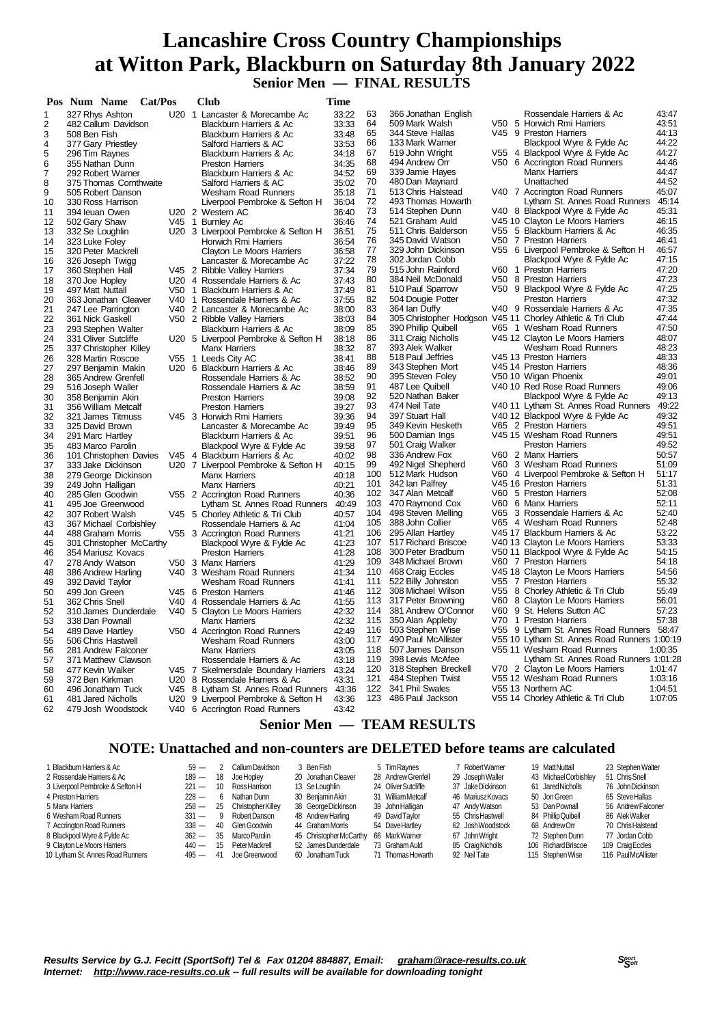### **Lancashire Cross Country Championships at Witton Park, Blackburn on Saturday 8th January 2022 Senior Men — FINAL RESULTS**

|                         | Pos Num Name<br>Cat/Pos                    |       | Club                                                            | Time           |            |                                          |     |                                                              |                |
|-------------------------|--------------------------------------------|-------|-----------------------------------------------------------------|----------------|------------|------------------------------------------|-----|--------------------------------------------------------------|----------------|
| 1                       | 327 Rhys Ashton                            |       | U20 1 Lancaster & Morecambe Ac                                  | 33:22          | 63         | 366 Jonathan English                     |     | Rossendale Harriers & Ac                                     | 43:47          |
| $\overline{\mathbf{c}}$ | 482 Callum Davidson                        |       | Blackburn Harriers & Ac                                         | 33:33          | 64         | 509 Mark Walsh                           |     | V50 5 Horwich Rmi Harriers                                   | 43:51          |
| 3                       | 508 Ben Fish                               |       | Blackburn Harriers & Ac                                         | 33:48          | 65         | 344 Steve Hallas                         |     | V45 9 Preston Harriers                                       | 44:13          |
| 4                       | 377 Gary Priestley                         |       | Salford Harriers & AC                                           | 33:53          | 66         | 133 Mark Warner                          |     | Blackpool Wyre & Fylde Ac                                    | 44:22          |
| 5                       | 296 Tim Raynes                             |       | Blackburn Harriers & Ac                                         | 34:18          | 67         | 519 John Wright                          |     | V55 4 Blackpool Wyre & Fylde Ac                              | 44:27          |
| 6                       | 355 Nathan Dunn                            |       | <b>Preston Harriers</b>                                         | 34:35          | 68         | 494 Andrew Orr                           |     | V50 6 Accrington Road Runners                                | 44:46          |
| $\overline{7}$          | 292 Robert Warner                          |       | <b>Blackburn Harriers &amp; Ac</b>                              | 34:52          | 69         | 339 Jamie Hayes                          |     | <b>Manx Harriers</b>                                         | 44:47          |
| 8                       | 375 Thomas Cornthwaite                     |       | Salford Harriers & AC                                           | 35:02          | 70         | 480 Dan Maynard                          |     | Unattached                                                   | 44:52          |
| 9                       | 505 Robert Danson                          |       | Wesham Road Runners                                             | 35:18          | 71         | 513 Chris Halstead                       |     | V40 7 Accrington Road Runners                                | 45:07          |
| 10                      | 330 Ross Harrison                          |       | Liverpool Pembroke & Sefton H                                   | 36:04          | 72         | 493 Thomas Howarth                       |     | Lytham St. Annes Road Runners                                | 45:14          |
| 11                      | 394 leuan Owen                             |       | U20 2 Western AC                                                | 36:40          | 73         | 514 Stephen Dunn                         |     | V40 8 Blackpool Wyre & Fylde Ac                              | 45:31          |
| 12                      | 502 Gary Shaw                              |       | V45 1 Burnley Ac                                                | 36:46          | 74         | 521 Graham Auld                          |     | V45 10 Clayton Le Moors Harriers                             | 46:15          |
| 13                      | 332 Se Loughlin                            |       | U20 3 Liverpool Pembroke & Sefton H                             | 36:51          | 75         | 511 Chris Balderson                      |     | V55 5 Blackburn Harriers & Ac                                | 46:35          |
| 14                      | 323 Luke Foley                             |       | Horwich Rmi Harriers                                            | 36:54          | 76         | 345 David Watson                         |     | V50 7 Preston Harriers                                       | 46:41          |
| 15                      | 320 Peter Mackrell                         |       | Clayton Le Moors Harriers                                       | 36:58          | 77         | 329 John Dickinson                       |     | V55 6 Liverpool Pembroke & Sefton H                          | 46:57<br>47:15 |
| 16                      | 326 Joseph Twigg                           |       | Lancaster & Morecambe Ac                                        | 37:22          | 78         | 302 Jordan Cobb                          |     | Blackpool Wyre & Fylde Ac                                    | 47:20          |
| 17                      | 360 Stephen Hall                           |       | V45 2 Ribble Valley Harriers                                    | 37:34          | 79<br>80   | 515 John Rainford<br>384 Neil McDonald   |     | V60 1 Preston Harriers<br>V50 8 Preston Harriers             | 47:23          |
| 18                      | 370 Joe Hopley                             |       | U20 4 Rossendale Harriers & Ac                                  | 37:43          | 81         | 510 Paul Sparrow                         |     | V50 9 Blackpool Wyre & Fylde Ac                              | 47:25          |
| 19                      | 497 Matt Nuttall                           |       | V50 1 Blackburn Harriers & Ac<br>V40 1 Rossendale Harriers & Ac | 37:49          | 82         | 504 Dougie Potter                        |     | <b>Preston Harriers</b>                                      | 47:32          |
| 20                      | 363 Jonathan Cleaver                       |       |                                                                 | 37:55          | 83         | 364 lan Duffy                            |     | V40 9 Rossendale Harriers & Ac                               | 47:35          |
| 21                      | 247 Lee Parrington                         |       | V40 2 Lancaster & Morecambe Ac                                  | 38:00          | 84         | 305 Christopher Hodgson                  |     | V45 11 Chorley Athletic & Tri Club                           | 47:44          |
| 22<br>23                | 361 Nick Gaskell                           |       | V50 2 Ribble Valley Harriers<br>Blackburn Harriers & Ac         | 38:03<br>38:09 | 85         | 390 Phillip Quibell                      |     | V65 1 Wesham Road Runners                                    | 47:50          |
| 24                      | 293 Stephen Walter<br>331 Oliver Sutcliffe |       | U20 5 Liverpool Pembroke & Sefton H                             | 38:18          | 86         | 311 Craig Nicholls                       |     | V45 12 Clayton Le Moors Harriers                             | 48:07          |
| 25                      | 337 Christopher Killey                     |       | <b>Manx Harriers</b>                                            | 38:32          | 87         | 393 Alek Walker                          |     | Wesham Road Runners                                          | 48:23          |
| 26                      | 328 Martin Roscoe                          |       | V55 1 Leeds City AC                                             | 38:41          | 88         | 518 Paul Jeffries                        |     | V45 13 Preston Harriers                                      | 48:33          |
| 27                      | 297 Benjamin Makin                         |       | U20 6 Blackburn Harriers & Ac                                   | 38:46          | 89         | 343 Stephen Mort                         |     | V45 14 Preston Harriers                                      | 48:36          |
| 28                      | 365 Andrew Grenfell                        |       | Rossendale Harriers & Ac                                        | 38:52          | 90         | 395 Steven Foley                         |     | V50 10 Wigan Phoenix                                         | 49:01          |
| 29                      | 516 Joseph Waller                          |       | Rossendale Harriers & Ac                                        | 38:59          | 91         | 487 Lee Quibell                          |     | V40 10 Red Rose Road Runners                                 | 49:06          |
| 30                      | 358 Benjamin Akin                          |       | <b>Preston Harriers</b>                                         | 39:08          | 92         | 520 Nathan Baker                         |     | Blackpool Wyre & Fylde Ac                                    | 49:13          |
| 31                      | 356 William Metcalf                        |       | <b>Preston Harriers</b>                                         | 39:27          | 93         | 474 Neil Tate                            |     | V40 11 Lytham St. Annes Road Runners                         | 49:22          |
| 32                      | 321 James Titmuss                          |       | V45 3 Horwich Rmi Harriers                                      | 39:36          | 94         | 397 Stuart Hall                          |     | V40 12 Blackpool Wyre & Fylde Ac                             | 49:32          |
| 33                      | 325 David Brown                            |       | Lancaster & Morecambe Ac                                        | 39:49          | 95         | 349 Kevin Hesketh                        |     | V65 2 Preston Harriers                                       | 49:51          |
| 34                      | 291 Marc Hartley                           |       | Blackburn Harriers & Ac                                         | 39:51          | 96         | 500 Damian Ings                          |     | V45 15 Wesham Road Runners                                   | 49:51          |
| 35                      | 483 Marco Parolin                          |       | Blackpool Wyre & Fylde Ac                                       | 39:58          | 97         | 501 Craig Walker                         |     | <b>Preston Harriers</b>                                      | 49:52          |
| 36                      | 101 Christophen Davies                     |       | V45 4 Blackburn Harriers & Ac                                   | 40:02          | 98         | 336 Andrew Fox                           |     | V60 2 Manx Harriers                                          | 50:57          |
| 37                      | 333 Jake Dickinson                         |       | U20 7 Liverpool Pembroke & Sefton H                             | 40:15          | 99         | 492 Nigel Shepherd                       |     | V60 3 Wesham Road Runners                                    | 51:09          |
| 38                      | 279 George Dickinson                       |       | <b>Manx Harriers</b>                                            | 40:18          | 100        | 512 Mark Hudson                          |     | V60 4 Liverpool Pembroke & Sefton H                          | 51:17          |
| 39                      | 249 John Halligan                          |       | <b>Manx Harriers</b>                                            | 40:21          | 101        | 342 lan Palfrey                          |     | V45 16 Preston Harriers                                      | 51:31          |
| 40                      | 285 Glen Goodwin                           |       | V55 2 Accrington Road Runners                                   | 40:36          | 102        | 347 Alan Metcalf                         |     | V60 5 Preston Harriers                                       | 52:08          |
| 41                      | 495 Joe Greenwood                          |       | Lytham St. Annes Road Runners                                   | 40:49          | 103        | 470 Raymond Cox                          |     | V60 6 Manx Harriers                                          | 52:11          |
| 42                      | 307 Robert Walsh                           |       | V45 5 Chorley Athletic & Tri Club                               | 40:57          | 104        | 498 Steven Melling                       |     | V65 3 Rossendale Harriers & Ac                               | 52:40          |
| 43                      | 367 Michael Corbishley                     |       | Rossendale Harriers & Ac                                        | 41:04          | 105        | 388 John Collier                         |     | V65 4 Wesham Road Runners                                    | 52:48          |
| 44                      | 488 Graham Morris                          |       | V55 3 Accrington Road Runners                                   | 41:21          | 106        | 295 Allan Hartley                        |     | V45 17 Blackburn Harriers & Ac                               | 53:22          |
| 45                      | 301 Christopher McCarthy                   |       | Blackpool Wyre & Fylde Ac                                       | 41:23          | 107        | 517 Richard Briscoe                      |     | V40 13 Clayton Le Moors Harriers                             | 53:33          |
| 46                      | 354 Mariusz Kovacs                         |       | <b>Preston Harriers</b>                                         | 41:28          | 108        | 300 Peter Bradburn                       |     | V50 11 Blackpool Wyre & Fylde Ac                             | 54:15          |
| 47                      | 278 Andy Watson                            |       | V50 3 Manx Harriers                                             | 41:29          | 109        | 348 Michael Brown                        |     | V60 7 Preston Harriers                                       | 54:18          |
| 48                      | 386 Andrew Harling                         |       | V40 3 Wesham Road Runners                                       | 41:34          | 110        | 468 Craig Eccles                         |     | V45 18 Clayton Le Moors Harriers                             | 54:56          |
| 49                      | 392 David Taylor                           |       | Wesham Road Runners                                             | 41:41          | 111<br>112 | 522 Billy Johnston<br>308 Michael Wilson | V55 | V55 7 Preston Harriers                                       | 55:32<br>55:49 |
| 50                      | 499 Jon Green                              |       | V45 6 Preston Harriers                                          | 41:46          | 113        | 317 Peter Browning                       | V60 | 8 Chorley Athletic & Tri Club<br>8 Clayton Le Moors Harriers | 56:01          |
| 51<br>52                | 362 Chris Snell<br>310 James Dunderdale    |       | V40 4 Rossendale Harriers & Ac                                  | 41:55<br>42:32 | 114        | 381 Andrew O'Connor                      |     | V60 9 St. Helens Sutton AC                                   | 57:23          |
|                         | 338 Dan Pownall                            |       | V40 5 Clayton Le Moors Harriers<br><b>Manx Harriers</b>         | 42:32          | 115        | 350 Alan Appleby                         |     | V70 1 Preston Harriers                                       | 57:38          |
| 53                      |                                            |       |                                                                 | 42:49          | 116        | 503 Stephen Wise                         |     | V55 9 Lytham St. Annes Road Runners 58:47                    |                |
| 54<br>55                | 489 Dave Hartley                           |       | V50 4 Accrington Road Runners<br><b>Wesham Road Runners</b>     | 43:00          | 117        | 490 Paul McAllister                      |     | V55 10 Lytham St. Annes Road Runners 1:00:19                 |                |
| 56                      | 506 Chris Hastwell<br>281 Andrew Falconer  |       | <b>Manx Harriers</b>                                            |                | 118        | 507 James Danson                         |     | V55 11 Wesham Road Runners                                   | 1:00:35        |
| 57                      | 371 Matthew Clawson                        |       | Rossendale Harriers & Ac                                        | 43:05<br>43:18 | 119        | 398 Lewis McAfee                         |     | Lytham St. Annes Road Runners 1:01:28                        |                |
| 58                      | 477 Kevin Walker                           | V45 7 | Skelmersdale Boundary Harriers                                  | 43:24          | 120        | 318 Stephen Breckell                     |     | V70 2 Clayton Le Moors Harriers                              | 1:01:47        |
| 59                      | 372 Ben Kirkman                            |       | U20 8 Rossendale Harriers & Ac                                  | 43:31          | 121        | 484 Stephen Twist                        |     | V55 12 Wesham Road Runners                                   | 1:03:16        |
| 60                      | 496 Jonatham Tuck                          |       | V45 8 Lytham St. Annes Road Runners                             | 43:36          | 122        | 341 Phil Swales                          |     | V55 13 Northern AC                                           | 1:04:51        |
| 61                      | 481 Jared Nicholls                         | U20   | 9 Liverpool Pembroke & Sefton H                                 | 43:36          | 123        | 486 Paul Jackson                         |     | V55 14 Chorley Athletic & Tri Club                           | 1:07:05        |
| 62                      | 479 Josh Woodstock                         |       | V40 6 Accrington Road Runners                                   | 43:42          |            |                                          |     |                                                              |                |
|                         |                                            |       | $Conior Mon$                                                    |                |            | TE AM DECHI TC                           |     |                                                              |                |

#### **Senior Men — TEAM RESULTS**

#### **NOTE: Unattached and non-counters are DELETED before teams are calculated**

| Blackburn Harriers & Ac          | $59 -$  | $\mathcal{P}$ | Callum Davidson    | 3 Ben Fish              | 5 Tim Ravnes        | 7 Robert Warner   | 19 Matt Nuttall       | 23 Stephen Walter  |
|----------------------------------|---------|---------------|--------------------|-------------------------|---------------------|-------------------|-----------------------|--------------------|
| 2 Rossendale Harriers & Ac       | $189 -$ | 18            | Joe Hopley         | 20 Jonathan Cleaver     | 28 Andrew Grenfell  | 29 Joseph Waller  | 43 Michael Corbishley | 51 Chris Snell     |
| 3 Liverpool Pembroke & Sefton H  | $221 -$ | 10            | RossHarrison       | 13 Se Loughlin          | 24 Oliver Sutcliffe | 37 Jake Dickinson | 61 Jared Nicholls     | 76 John Dickinson  |
| 4 Preston Harriers               | $228 -$ | 6             | Nathan Dunn        | 30 Benjamin Akin        | 31 William Metcalf  | 46 Mariusz Kovacs | 50 Jon Green          | 65 Steve Hallas    |
| 5 Manx Harriers                  | $258 -$ | 25            | Christopher Killey | 38 George Dickinson     | 39 John Halligan    | 47 Andy Watson    | 53 Dan Pownall        | 56 Andrew Falconer |
| 6 Wesham Road Runners            | $331 -$ | 9             | Robert Danson      | 48 Andrew Harling       | 49 David Tavlor     | 55 Chris Hastwell | 84 Phillip Quibell    | 86 Alek Walker     |
| 7 Accrington Road Runners        | $338 -$ | -40           | Glen Goodwin       | 44 Graham Morris        | 54 Dave Hartley     | 62 Josh Woodstock | 68 AndrewOrr          | 70 Chris Halstead  |
| 8 Blackpool Wyre & Fylde Ac      | $362 -$ | -35           | Marco Parolin      | 45 Christopher McCarthy | 66 MarkWarner       | 67 John Wright    | 72 Stephen Dunn       | 77 Jordan Cobb     |
| 9 Clayton Le Moors Harriers      | $440 -$ | 15            | Peter Mackrell     | 52 James Dunderdale     | 73 Graham Auld      | 85 Craig Nicholls | 106 Richard Briscoe   | 109 Craig Eccles   |
| 10 Lytham St. Annes Road Runners | $495 -$ | -41           | Joe Greenwood      | 60 Jonatham Tuck        | 71 Thomas Howarth   | 92 Neil Tate      | 115 Stephen Wise      | 116 PaulMcAllister |